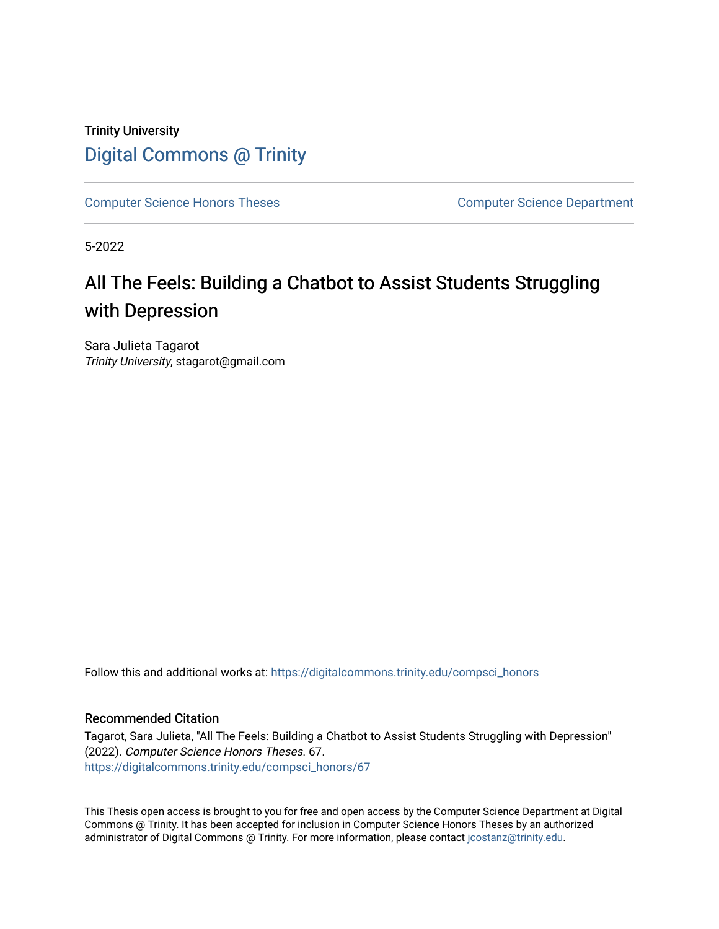### Trinity University [Digital Commons @ Trinity](https://digitalcommons.trinity.edu/)

[Computer Science Honors Theses](https://digitalcommons.trinity.edu/compsci_honors) Computer Science Department

5-2022

## All The Feels: Building a Chatbot to Assist Students Struggling with Depression

Sara Julieta Tagarot Trinity University, stagarot@gmail.com

Follow this and additional works at: [https://digitalcommons.trinity.edu/compsci\\_honors](https://digitalcommons.trinity.edu/compsci_honors?utm_source=digitalcommons.trinity.edu%2Fcompsci_honors%2F67&utm_medium=PDF&utm_campaign=PDFCoverPages)

#### Recommended Citation

Tagarot, Sara Julieta, "All The Feels: Building a Chatbot to Assist Students Struggling with Depression" (2022). Computer Science Honors Theses. 67. [https://digitalcommons.trinity.edu/compsci\\_honors/67](https://digitalcommons.trinity.edu/compsci_honors/67?utm_source=digitalcommons.trinity.edu%2Fcompsci_honors%2F67&utm_medium=PDF&utm_campaign=PDFCoverPages) 

This Thesis open access is brought to you for free and open access by the Computer Science Department at Digital Commons @ Trinity. It has been accepted for inclusion in Computer Science Honors Theses by an authorized administrator of Digital Commons @ Trinity. For more information, please contact [jcostanz@trinity.edu.](mailto:jcostanz@trinity.edu)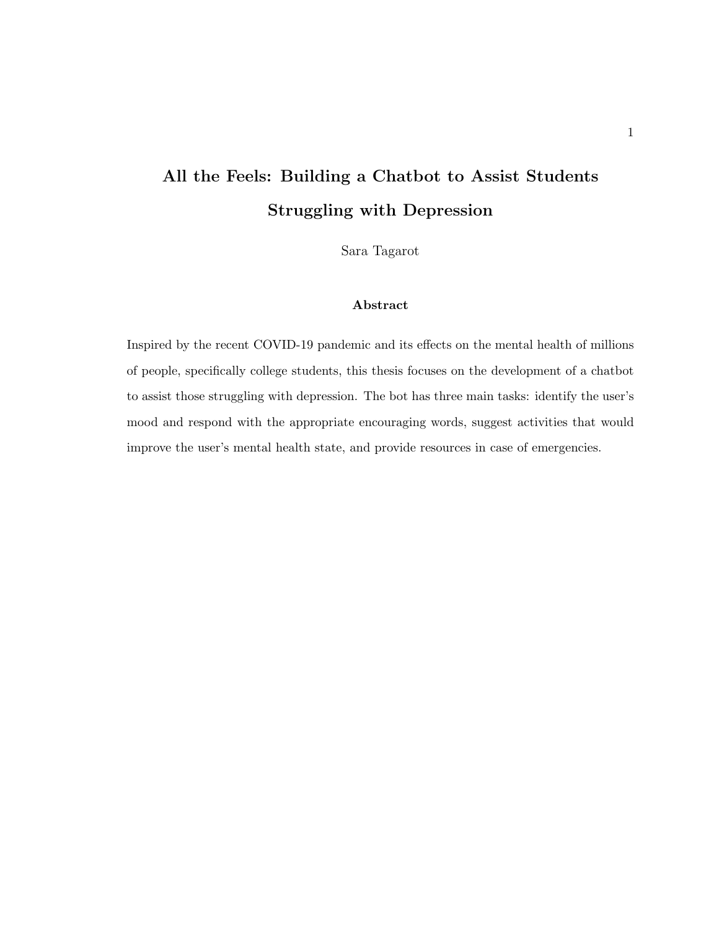## All the Feels: Building a Chatbot to Assist Students Struggling with Depression

Sara Tagarot

#### Abstract

Inspired by the recent COVID-19 pandemic and its effects on the mental health of millions of people, specifically college students, this thesis focuses on the development of a chatbot to assist those struggling with depression. The bot has three main tasks: identify the user's mood and respond with the appropriate encouraging words, suggest activities that would improve the user's mental health state, and provide resources in case of emergencies.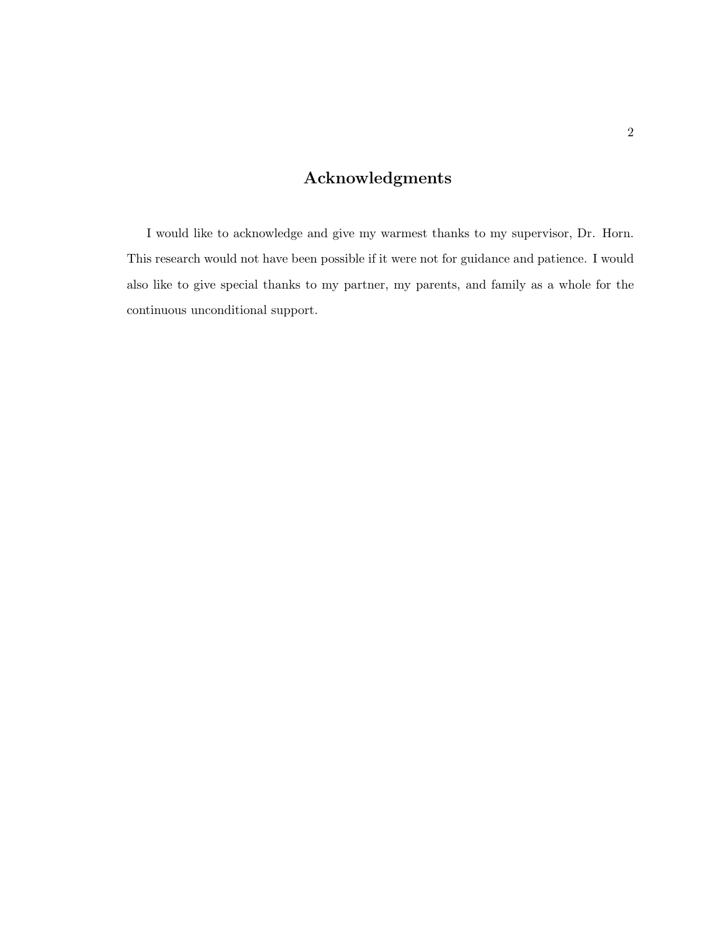### Acknowledgments

I would like to acknowledge and give my warmest thanks to my supervisor, Dr. Horn. This research would not have been possible if it were not for guidance and patience. I would also like to give special thanks to my partner, my parents, and family as a whole for the continuous unconditional support.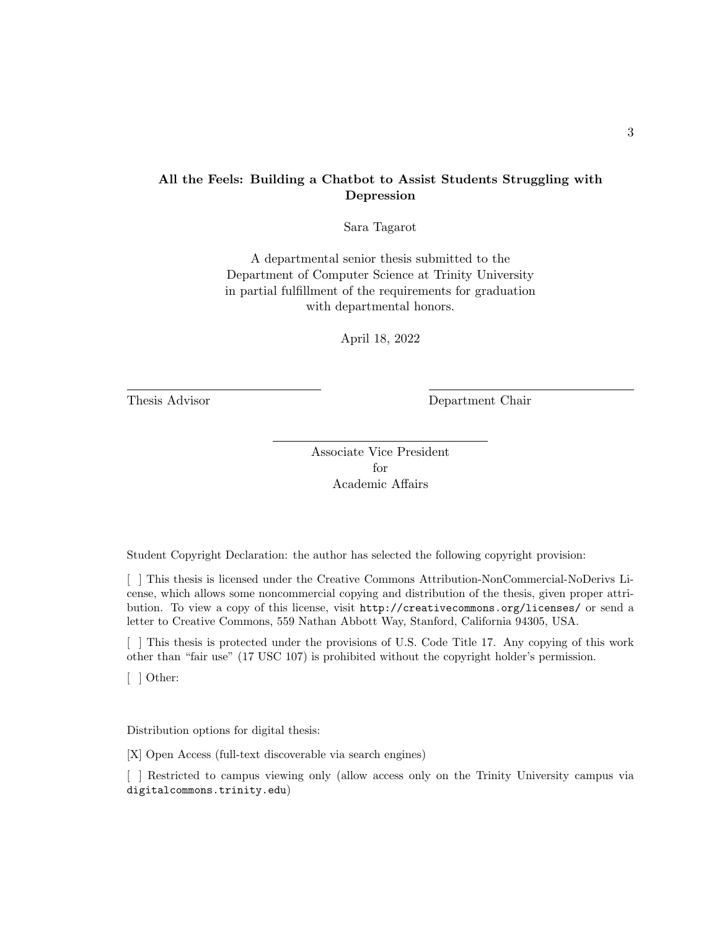#### All the Feels: Building a Chatbot to Assist Students Struggling with Depression

Sara Tagarot

A departmental senior thesis submitted to the Department of Computer Science at Trinity University in partial fulfillment of the requirements for graduation with departmental honors.

April 18, 2022

Thesis Advisor Department Chair

Associate Vice President for Academic Affairs

Student Copyright Declaration: the author has selected the following copyright provision:

[ ] This thesis is licensed under the Creative Commons Attribution-NonCommercial-NoDerivs License, which allows some noncommercial copying and distribution of the thesis, given proper attribution. To view a copy of this license, visit http://creativecommons.org/licenses/ or send a letter to Creative Commons, 559 Nathan Abbott Way, Stanford, California 94305, USA.

[ ] This thesis is protected under the provisions of U.S. Code Title 17. Any copying of this work other than "fair use" (17 USC 107) is prohibited without the copyright holder's permission.

[ ] Other:

Distribution options for digital thesis:

[X] Open Access (full-text discoverable via search engines)

[ ] Restricted to campus viewing only (allow access only on the Trinity University campus via digitalcommons.trinity.edu)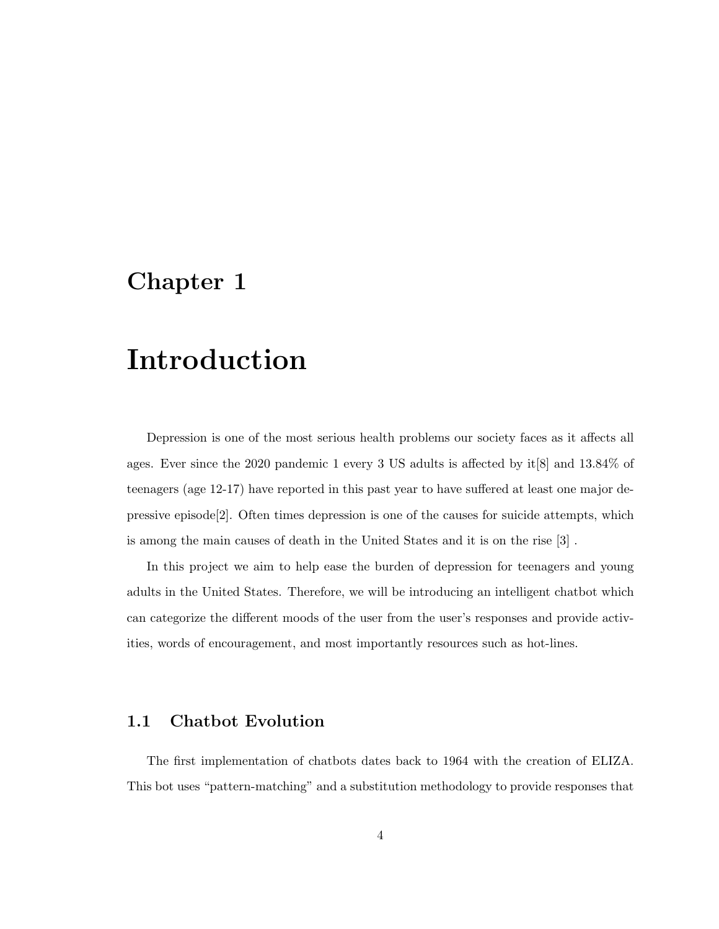## Introduction

Depression is one of the most serious health problems our society faces as it affects all ages. Ever since the 2020 pandemic 1 every 3 US adults is affected by it[8] and 13.84% of teenagers (age 12-17) have reported in this past year to have suffered at least one major depressive episode[2]. Often times depression is one of the causes for suicide attempts, which is among the main causes of death in the United States and it is on the rise [3] .

In this project we aim to help ease the burden of depression for teenagers and young adults in the United States. Therefore, we will be introducing an intelligent chatbot which can categorize the different moods of the user from the user's responses and provide activities, words of encouragement, and most importantly resources such as hot-lines.

### 1.1 Chatbot Evolution

The first implementation of chatbots dates back to 1964 with the creation of ELIZA. This bot uses "pattern-matching" and a substitution methodology to provide responses that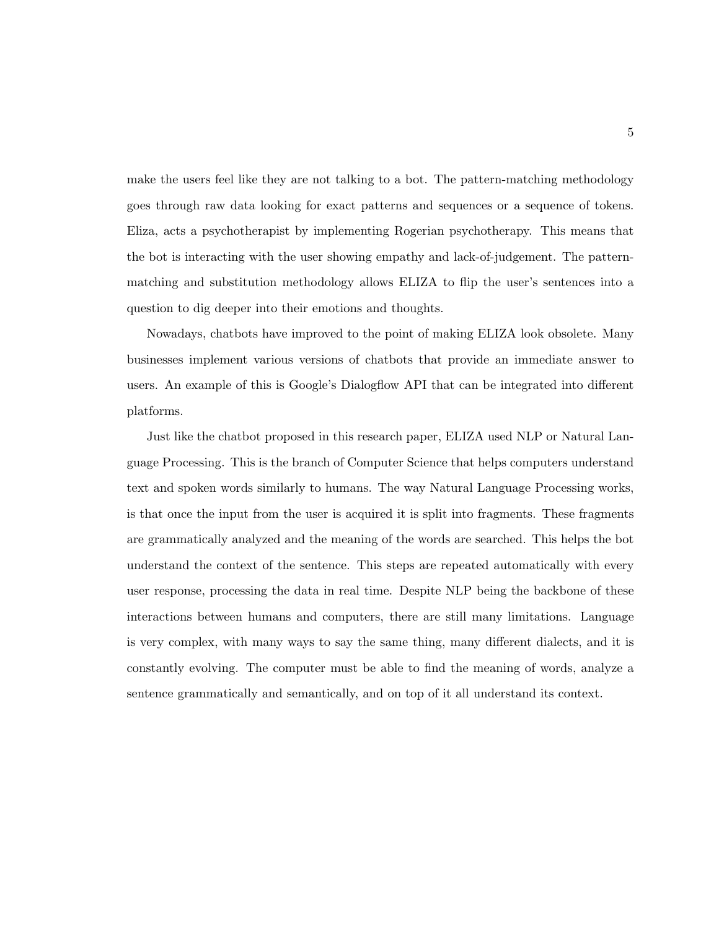make the users feel like they are not talking to a bot. The pattern-matching methodology goes through raw data looking for exact patterns and sequences or a sequence of tokens. Eliza, acts a psychotherapist by implementing Rogerian psychotherapy. This means that the bot is interacting with the user showing empathy and lack-of-judgement. The patternmatching and substitution methodology allows ELIZA to flip the user's sentences into a question to dig deeper into their emotions and thoughts.

Nowadays, chatbots have improved to the point of making ELIZA look obsolete. Many businesses implement various versions of chatbots that provide an immediate answer to users. An example of this is Google's Dialogflow API that can be integrated into different platforms.

Just like the chatbot proposed in this research paper, ELIZA used NLP or Natural Language Processing. This is the branch of Computer Science that helps computers understand text and spoken words similarly to humans. The way Natural Language Processing works, is that once the input from the user is acquired it is split into fragments. These fragments are grammatically analyzed and the meaning of the words are searched. This helps the bot understand the context of the sentence. This steps are repeated automatically with every user response, processing the data in real time. Despite NLP being the backbone of these interactions between humans and computers, there are still many limitations. Language is very complex, with many ways to say the same thing, many different dialects, and it is constantly evolving. The computer must be able to find the meaning of words, analyze a sentence grammatically and semantically, and on top of it all understand its context.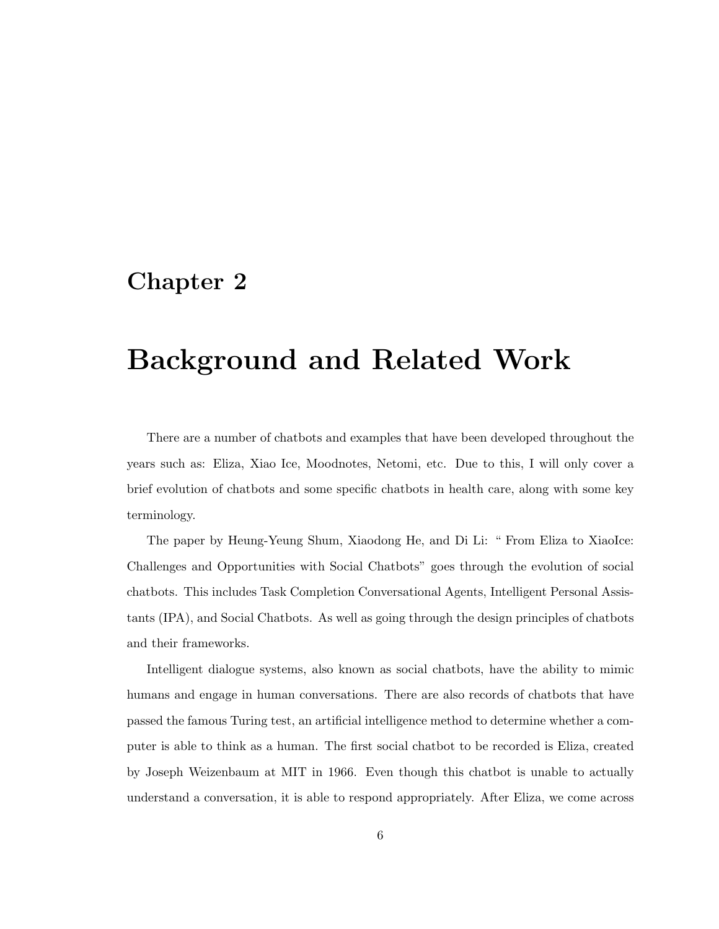## Background and Related Work

There are a number of chatbots and examples that have been developed throughout the years such as: Eliza, Xiao Ice, Moodnotes, Netomi, etc. Due to this, I will only cover a brief evolution of chatbots and some specific chatbots in health care, along with some key terminology.

The paper by Heung-Yeung Shum, Xiaodong He, and Di Li: " From Eliza to XiaoIce: Challenges and Opportunities with Social Chatbots" goes through the evolution of social chatbots. This includes Task Completion Conversational Agents, Intelligent Personal Assistants (IPA), and Social Chatbots. As well as going through the design principles of chatbots and their frameworks.

Intelligent dialogue systems, also known as social chatbots, have the ability to mimic humans and engage in human conversations. There are also records of chatbots that have passed the famous Turing test, an artificial intelligence method to determine whether a computer is able to think as a human. The first social chatbot to be recorded is Eliza, created by Joseph Weizenbaum at MIT in 1966. Even though this chatbot is unable to actually understand a conversation, it is able to respond appropriately. After Eliza, we come across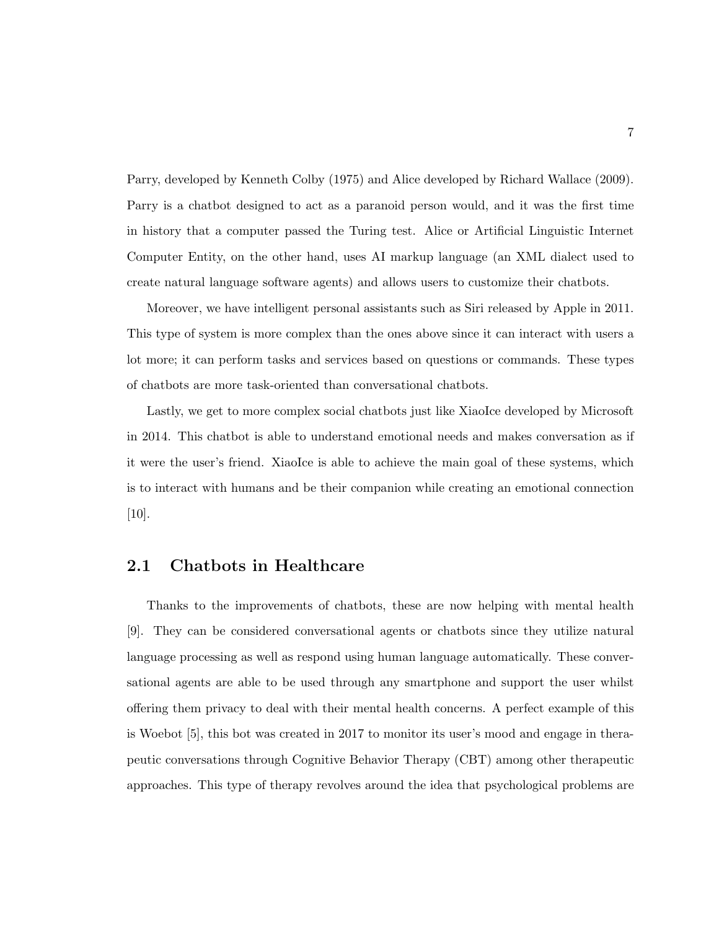Parry, developed by Kenneth Colby (1975) and Alice developed by Richard Wallace (2009). Parry is a chatbot designed to act as a paranoid person would, and it was the first time in history that a computer passed the Turing test. Alice or Artificial Linguistic Internet Computer Entity, on the other hand, uses AI markup language (an XML dialect used to create natural language software agents) and allows users to customize their chatbots.

Moreover, we have intelligent personal assistants such as Siri released by Apple in 2011. This type of system is more complex than the ones above since it can interact with users a lot more; it can perform tasks and services based on questions or commands. These types of chatbots are more task-oriented than conversational chatbots.

Lastly, we get to more complex social chatbots just like XiaoIce developed by Microsoft in 2014. This chatbot is able to understand emotional needs and makes conversation as if it were the user's friend. XiaoIce is able to achieve the main goal of these systems, which is to interact with humans and be their companion while creating an emotional connection [10].

#### 2.1 Chatbots in Healthcare

Thanks to the improvements of chatbots, these are now helping with mental health [9]. They can be considered conversational agents or chatbots since they utilize natural language processing as well as respond using human language automatically. These conversational agents are able to be used through any smartphone and support the user whilst offering them privacy to deal with their mental health concerns. A perfect example of this is Woebot [5], this bot was created in 2017 to monitor its user's mood and engage in therapeutic conversations through Cognitive Behavior Therapy (CBT) among other therapeutic approaches. This type of therapy revolves around the idea that psychological problems are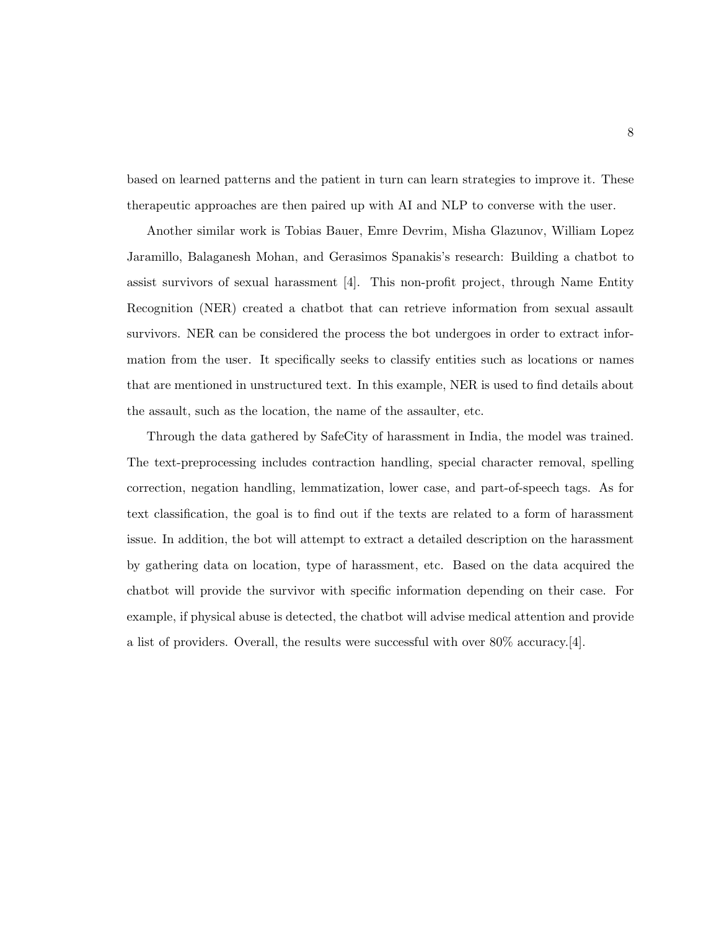based on learned patterns and the patient in turn can learn strategies to improve it. These therapeutic approaches are then paired up with AI and NLP to converse with the user.

Another similar work is Tobias Bauer, Emre Devrim, Misha Glazunov, William Lopez Jaramillo, Balaganesh Mohan, and Gerasimos Spanakis's research: Building a chatbot to assist survivors of sexual harassment [4]. This non-profit project, through Name Entity Recognition (NER) created a chatbot that can retrieve information from sexual assault survivors. NER can be considered the process the bot undergoes in order to extract information from the user. It specifically seeks to classify entities such as locations or names that are mentioned in unstructured text. In this example, NER is used to find details about the assault, such as the location, the name of the assaulter, etc.

Through the data gathered by SafeCity of harassment in India, the model was trained. The text-preprocessing includes contraction handling, special character removal, spelling correction, negation handling, lemmatization, lower case, and part-of-speech tags. As for text classification, the goal is to find out if the texts are related to a form of harassment issue. In addition, the bot will attempt to extract a detailed description on the harassment by gathering data on location, type of harassment, etc. Based on the data acquired the chatbot will provide the survivor with specific information depending on their case. For example, if physical abuse is detected, the chatbot will advise medical attention and provide a list of providers. Overall, the results were successful with over 80% accuracy.[4].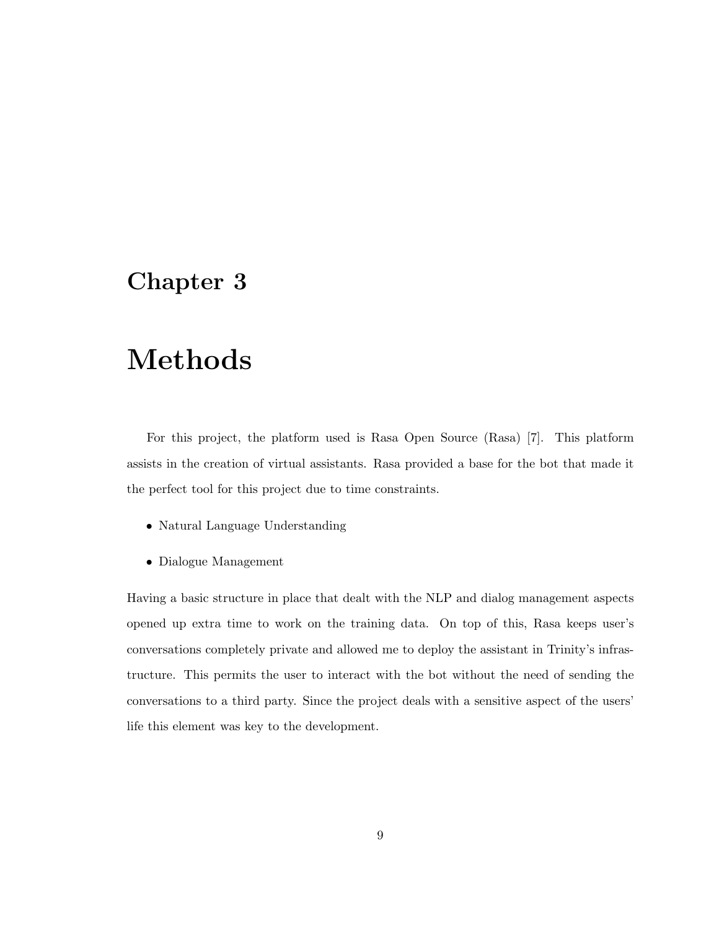# Methods

For this project, the platform used is Rasa Open Source (Rasa) [7]. This platform assists in the creation of virtual assistants. Rasa provided a base for the bot that made it the perfect tool for this project due to time constraints.

- Natural Language Understanding
- Dialogue Management

Having a basic structure in place that dealt with the NLP and dialog management aspects opened up extra time to work on the training data. On top of this, Rasa keeps user's conversations completely private and allowed me to deploy the assistant in Trinity's infrastructure. This permits the user to interact with the bot without the need of sending the conversations to a third party. Since the project deals with a sensitive aspect of the users' life this element was key to the development.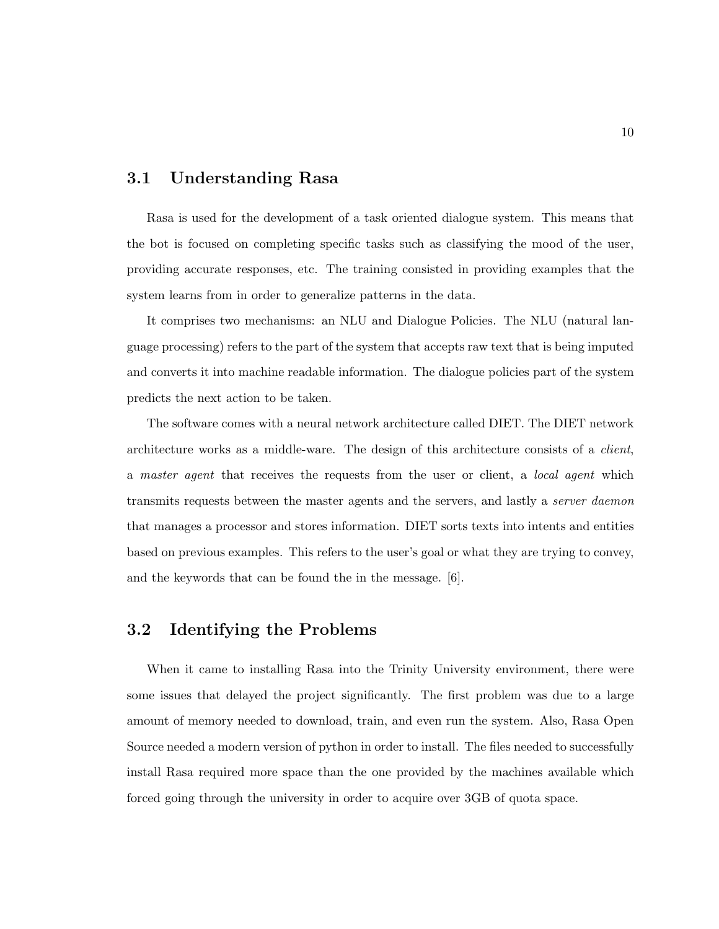### 3.1 Understanding Rasa

Rasa is used for the development of a task oriented dialogue system. This means that the bot is focused on completing specific tasks such as classifying the mood of the user, providing accurate responses, etc. The training consisted in providing examples that the system learns from in order to generalize patterns in the data.

It comprises two mechanisms: an NLU and Dialogue Policies. The NLU (natural language processing) refers to the part of the system that accepts raw text that is being imputed and converts it into machine readable information. The dialogue policies part of the system predicts the next action to be taken.

The software comes with a neural network architecture called DIET. The DIET network architecture works as a middle-ware. The design of this architecture consists of a *client*, a master agent that receives the requests from the user or client, a local agent which transmits requests between the master agents and the servers, and lastly a server daemon that manages a processor and stores information. DIET sorts texts into intents and entities based on previous examples. This refers to the user's goal or what they are trying to convey, and the keywords that can be found the in the message. [6].

### 3.2 Identifying the Problems

When it came to installing Rasa into the Trinity University environment, there were some issues that delayed the project significantly. The first problem was due to a large amount of memory needed to download, train, and even run the system. Also, Rasa Open Source needed a modern version of python in order to install. The files needed to successfully install Rasa required more space than the one provided by the machines available which forced going through the university in order to acquire over 3GB of quota space.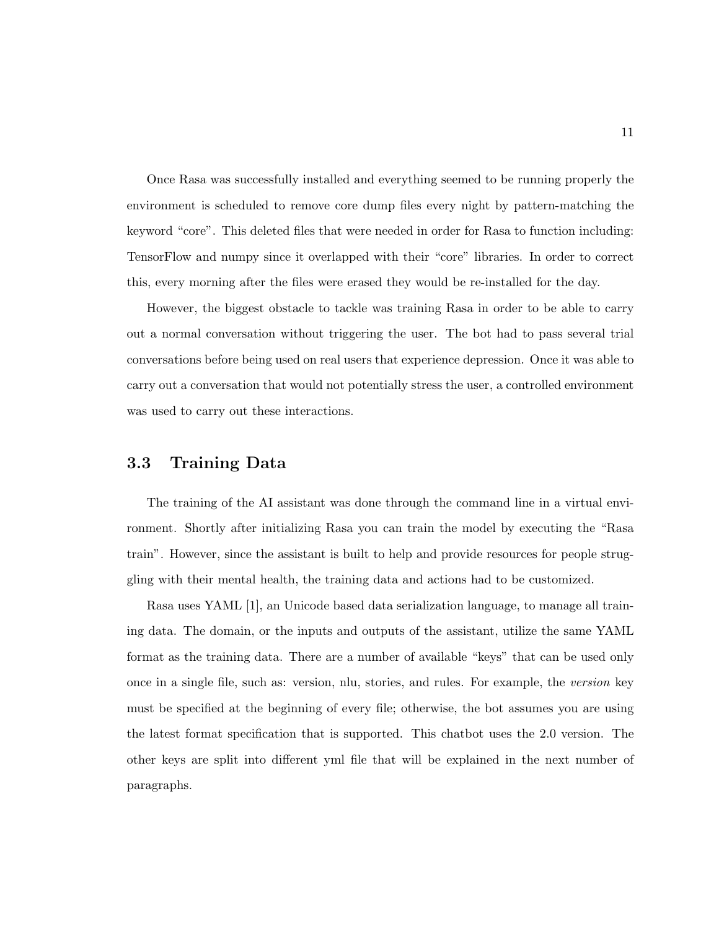Once Rasa was successfully installed and everything seemed to be running properly the environment is scheduled to remove core dump files every night by pattern-matching the keyword "core". This deleted files that were needed in order for Rasa to function including: TensorFlow and numpy since it overlapped with their "core" libraries. In order to correct this, every morning after the files were erased they would be re-installed for the day.

However, the biggest obstacle to tackle was training Rasa in order to be able to carry out a normal conversation without triggering the user. The bot had to pass several trial conversations before being used on real users that experience depression. Once it was able to carry out a conversation that would not potentially stress the user, a controlled environment was used to carry out these interactions.

#### 3.3 Training Data

The training of the AI assistant was done through the command line in a virtual environment. Shortly after initializing Rasa you can train the model by executing the "Rasa train". However, since the assistant is built to help and provide resources for people struggling with their mental health, the training data and actions had to be customized.

Rasa uses YAML [1], an Unicode based data serialization language, to manage all training data. The domain, or the inputs and outputs of the assistant, utilize the same YAML format as the training data. There are a number of available "keys" that can be used only once in a single file, such as: version, nlu, stories, and rules. For example, the version key must be specified at the beginning of every file; otherwise, the bot assumes you are using the latest format specification that is supported. This chatbot uses the 2.0 version. The other keys are split into different yml file that will be explained in the next number of paragraphs.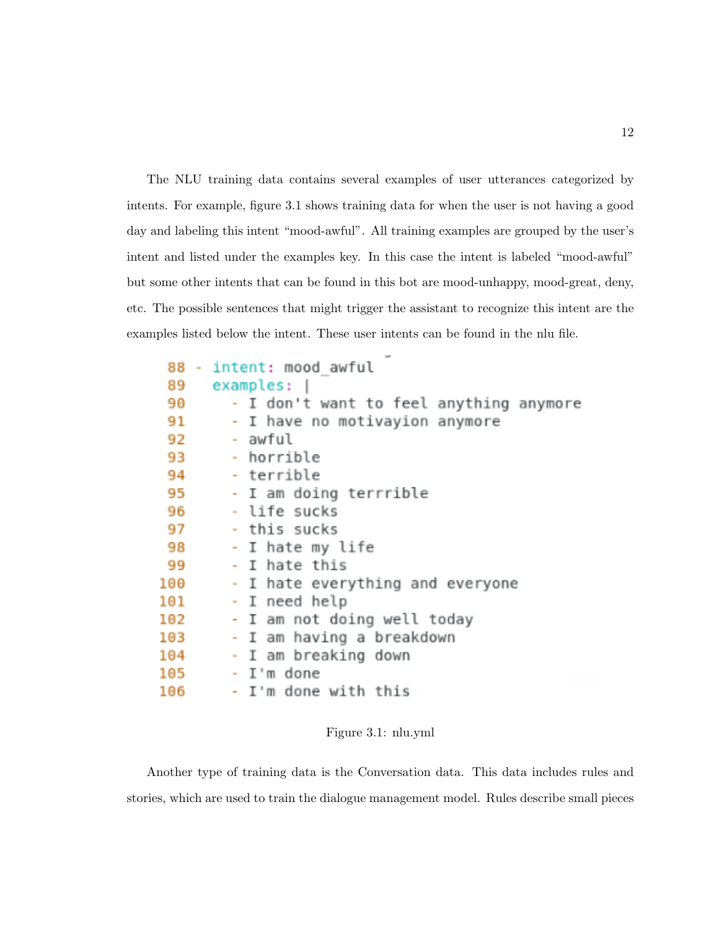The NLU training data contains several examples of user utterances categorized by intents. For example, figure 3.1 shows training data for when the user is not having a good day and labeling this intent "mood-awful". All training examples are grouped by the user's intent and listed under the examples key. In this case the intent is labeled "mood-awful" but some other intents that can be found in this bot are mood-unhappy, mood-great, deny, etc. The possible sentences that might trigger the assistant to recognize this intent are the examples listed below the intent. These user intents can be found in the nlu file.

|     |  | 88 - intent: mood awful                 |
|-----|--|-----------------------------------------|
| 89  |  | examples:                               |
| 90  |  | - I don't want to feel anything anymore |
| 91  |  | - I have no motivayion anymore          |
| 92  |  | - awful                                 |
| 93  |  | - horrible                              |
| 94  |  | - terrible                              |
| 95  |  | - I am doing terrrible                  |
| 96  |  | - life sucks                            |
| 97  |  | - this sucks                            |
| 98  |  | - I hate my life                        |
| 99  |  | - I hate this                           |
| 100 |  | - I hate everything and everyone        |
| 101 |  | - I need help                           |
| 102 |  | - I am not doing well today             |
| 103 |  | - I am having a breakdown               |
| 104 |  | - I am breaking down                    |
| 105 |  | - I'm done                              |
| 106 |  | - I'm done with this                    |

Figure 3.1: nlu.yml

Another type of training data is the Conversation data. This data includes rules and stories, which are used to train the dialogue management model. Rules describe small pieces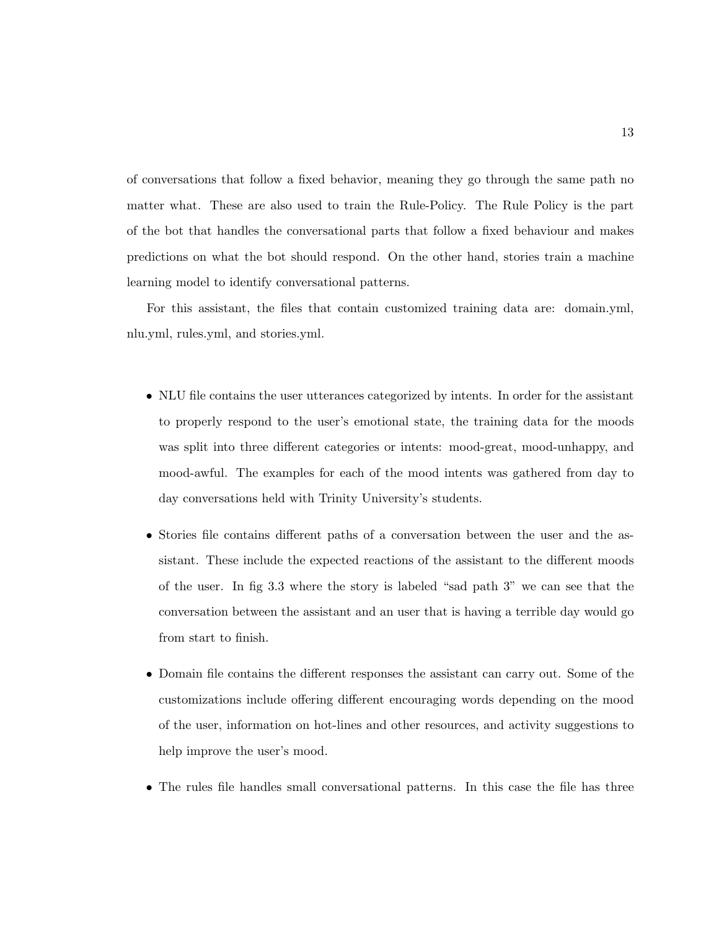of conversations that follow a fixed behavior, meaning they go through the same path no matter what. These are also used to train the Rule-Policy. The Rule Policy is the part of the bot that handles the conversational parts that follow a fixed behaviour and makes predictions on what the bot should respond. On the other hand, stories train a machine learning model to identify conversational patterns.

For this assistant, the files that contain customized training data are: domain.yml, nlu.yml, rules.yml, and stories.yml.

- NLU file contains the user utterances categorized by intents. In order for the assistant to properly respond to the user's emotional state, the training data for the moods was split into three different categories or intents: mood-great, mood-unhappy, and mood-awful. The examples for each of the mood intents was gathered from day to day conversations held with Trinity University's students.
- Stories file contains different paths of a conversation between the user and the assistant. These include the expected reactions of the assistant to the different moods of the user. In fig 3.3 where the story is labeled "sad path 3" we can see that the conversation between the assistant and an user that is having a terrible day would go from start to finish.
- Domain file contains the different responses the assistant can carry out. Some of the customizations include offering different encouraging words depending on the mood of the user, information on hot-lines and other resources, and activity suggestions to help improve the user's mood.
- The rules file handles small conversational patterns. In this case the file has three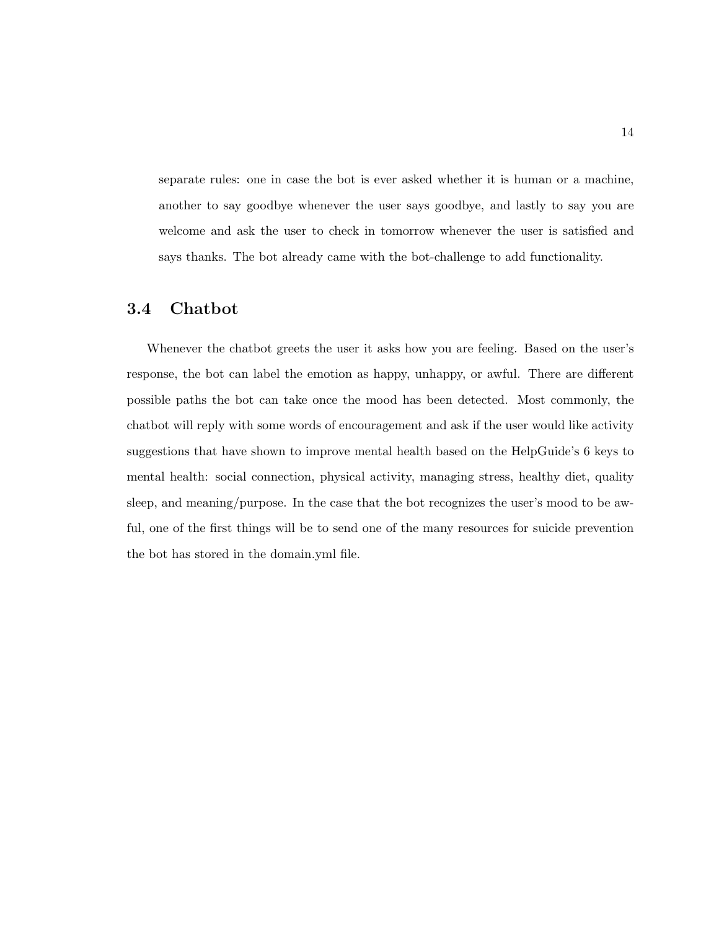separate rules: one in case the bot is ever asked whether it is human or a machine, another to say goodbye whenever the user says goodbye, and lastly to say you are welcome and ask the user to check in tomorrow whenever the user is satisfied and says thanks. The bot already came with the bot-challenge to add functionality.

### 3.4 Chatbot

Whenever the chatbot greets the user it asks how you are feeling. Based on the user's response, the bot can label the emotion as happy, unhappy, or awful. There are different possible paths the bot can take once the mood has been detected. Most commonly, the chatbot will reply with some words of encouragement and ask if the user would like activity suggestions that have shown to improve mental health based on the HelpGuide's 6 keys to mental health: social connection, physical activity, managing stress, healthy diet, quality sleep, and meaning/purpose. In the case that the bot recognizes the user's mood to be awful, one of the first things will be to send one of the many resources for suicide prevention the bot has stored in the domain.yml file.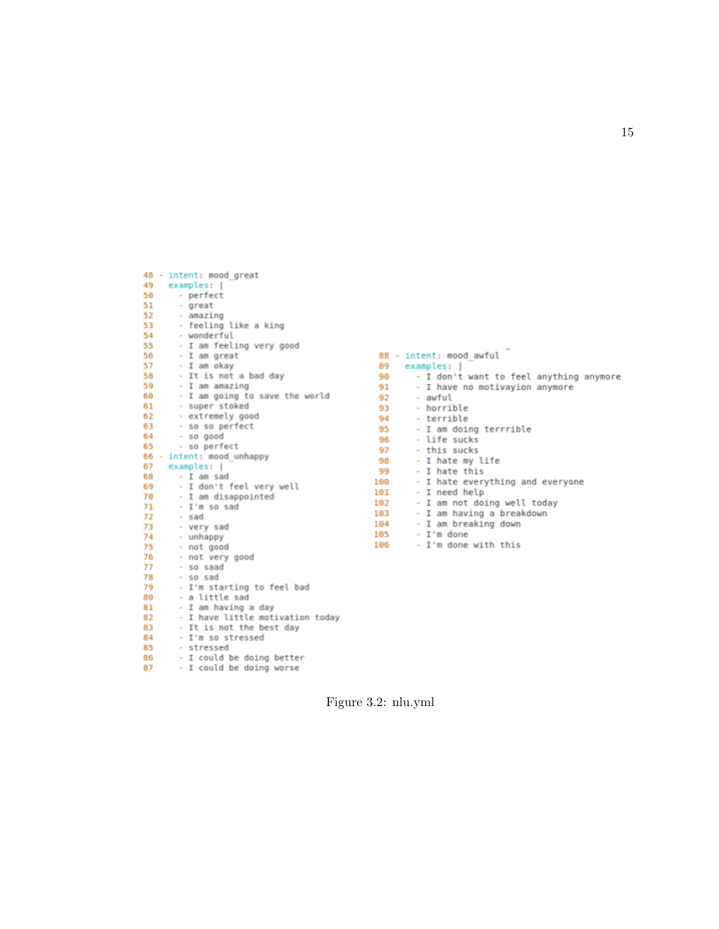| 48 |   | - intent: mood great             |
|----|---|----------------------------------|
| 49 |   | examples:<br>-                   |
| 50 |   | - perfect                        |
| 51 |   | - great                          |
| 52 |   | - amazing                        |
| 53 |   | - feeling like a king            |
| 54 |   | - wonderful                      |
| 55 |   | - I am feeling very good         |
| 56 |   | I am great                       |
| 57 |   | I am okay<br>$\sim$              |
| 58 |   | - It is not a bad day            |
| 59 |   | - I am amazing                   |
| 60 |   | - I am going to save the world   |
| 61 |   | - super stoked                   |
| 62 |   | - extremely good                 |
| 63 |   | - so so perfect                  |
| 64 |   | - so good                        |
| 65 |   | - so perfect                     |
| 66 | ٠ | intent: mood unhappy             |
| 67 |   | examples:                        |
| 68 |   | I am sad<br>×.                   |
| 69 |   | I don't feel very well<br>à.     |
| 70 |   | - I am disappointed              |
| 71 |   | - I'm so sad                     |
| 72 |   | - sad                            |
| 73 |   | - very sad                       |
| 74 |   | - unhappy                        |
| 75 |   | - not good                       |
| 76 |   | - not very good                  |
| 77 |   | so saad                          |
| 78 |   | so sad<br>$\sim$                 |
| 79 |   | - I'm starting to feel bad       |
| 80 |   | - a little sad                   |
| 81 |   | - I am having a day              |
| 82 |   | - I have little motivation today |
| 83 |   | It is not the best day<br>$\sim$ |
| 84 |   | I'm so stressed<br>$\sim$        |
| 85 |   | - stressed                       |
| 86 |   | - I could be doing better        |
| 87 |   | - I could be doing worse         |

|      | 88 - intent: mood awful                 |
|------|-----------------------------------------|
| 89   | examples:                               |
| 90   | - I don't want to feel anything anymore |
| 91   | - I have no motivayion anymore          |
| 92 - | - awful                                 |
| 93   | - horrible                              |
|      | 94 7<br>- terrible                      |
| 95   | - I am doing terrrible                  |
|      | - life sucks                            |
|      | 97 - this sucks                         |
| 98   | - I hate my life                        |
| 99   | - I hate this                           |
| 100  | - I hate everything and everyone        |
| 101  | - I need help                           |
| 102  | - I am not doing well today             |
| 103  | - I am having a breakdown               |
| 104  | - I am breaking down                    |
| 105  | - I'm done                              |
| 106  | - I'm done with this                    |
|      |                                         |

Figure 3.2: nlu.yml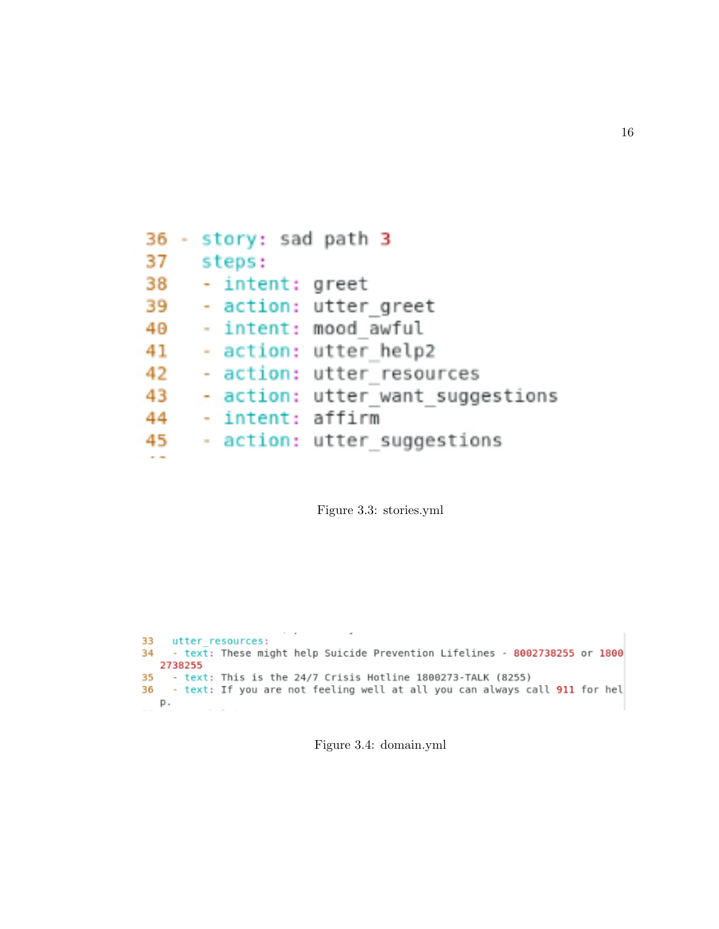```
36 - story: sad path 3
37 steps:
38
   - intent: greet
39 - action: utter_greet
40 - intent: mood awful
41 - action: utter help2
42 - action: utter_resources
    - action: utter want suggestions
43.
44 - intent: affirm
    - action: utter suggestions
45 -
an an
```
Figure 3.3: stories.yml

```
33 utter resources:
34 - text: These might help Suicide Prevention Lifelines - 8002738255 or 1800
  2738255
35 - text: This is the 24/7 Crisis Hotline 1800273-TALK (8255)
36 - text: If you are not feeling well at all you can always call 911 for hel
  р.
```
Figure 3.4: domain.yml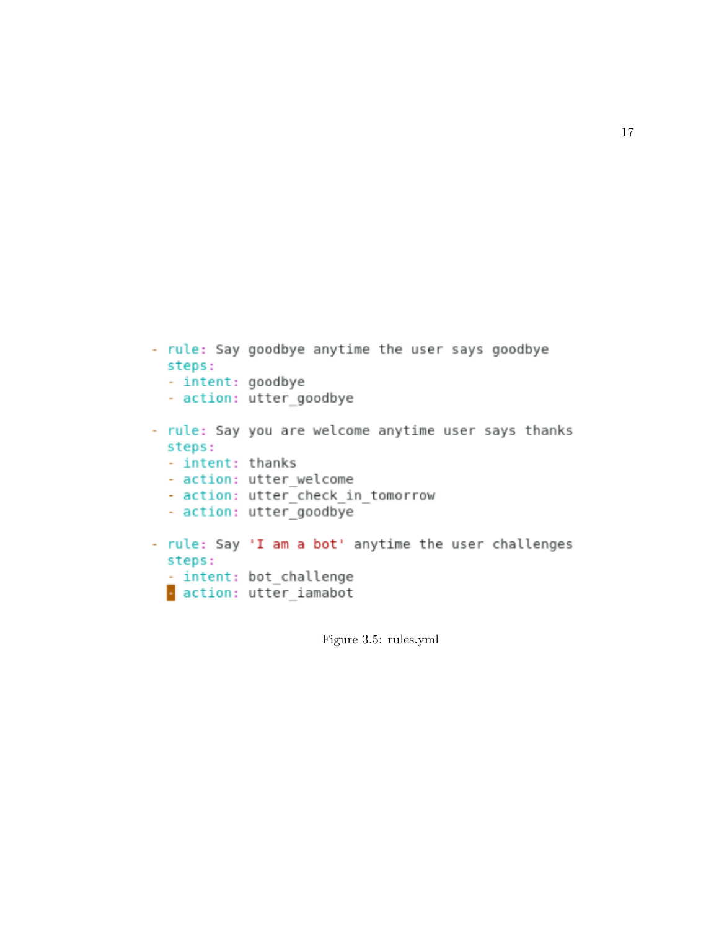```
- rule: Say goodbye anytime the user says goodbye
  steps:
  - intent: goodbye
  - action: utter goodbye
- rule: Say you are welcome anytime user says thanks
 steps:
 - intent: thanks
  - action: utter welcome
  - action: utter check in tomorrow
  - action: utter_goodbye
- rule: Say 'I am a bot' anytime the user challenges
  steps:
 - intent: bot challenge
 action: utter iamabot
```
Figure 3.5: rules.yml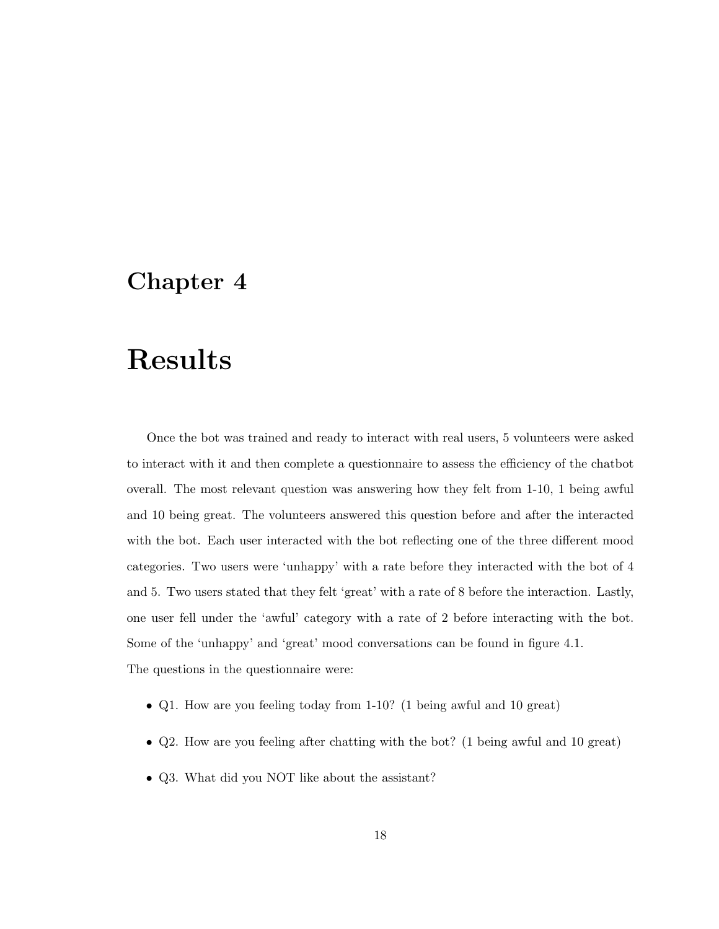## Results

Once the bot was trained and ready to interact with real users, 5 volunteers were asked to interact with it and then complete a questionnaire to assess the efficiency of the chatbot overall. The most relevant question was answering how they felt from 1-10, 1 being awful and 10 being great. The volunteers answered this question before and after the interacted with the bot. Each user interacted with the bot reflecting one of the three different mood categories. Two users were 'unhappy' with a rate before they interacted with the bot of 4 and 5. Two users stated that they felt 'great' with a rate of 8 before the interaction. Lastly, one user fell under the 'awful' category with a rate of 2 before interacting with the bot. Some of the 'unhappy' and 'great' mood conversations can be found in figure 4.1. The questions in the questionnaire were:

- Q1. How are you feeling today from 1-10? (1 being awful and 10 great)
- Q2. How are you feeling after chatting with the bot? (1 being awful and 10 great)
- Q3. What did you NOT like about the assistant?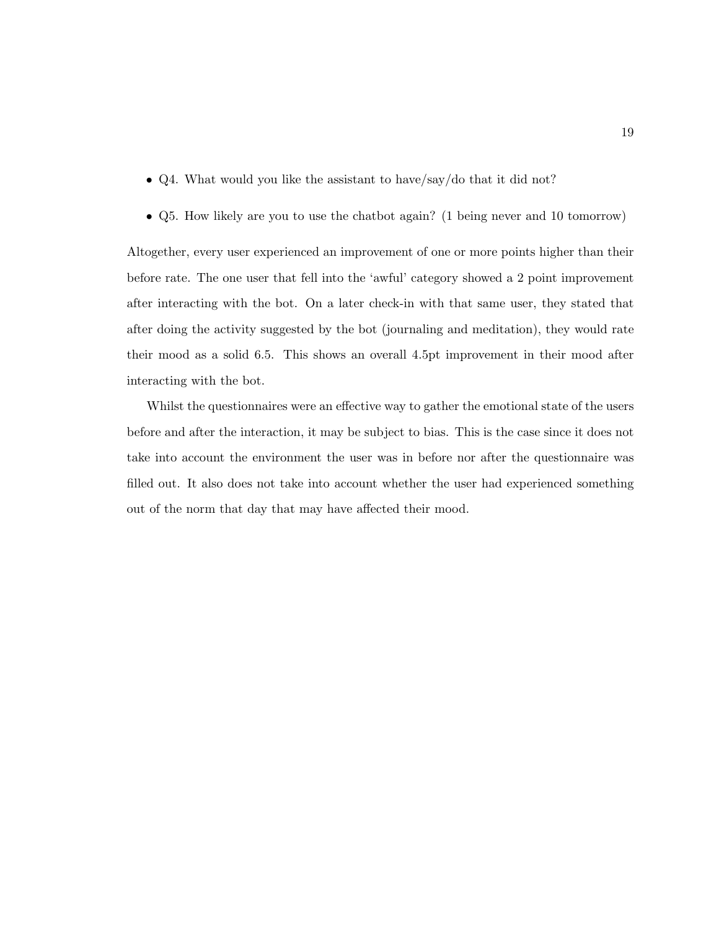- Q4. What would you like the assistant to have/say/do that it did not?
- Q5. How likely are you to use the chatbot again? (1 being never and 10 tomorrow)

Altogether, every user experienced an improvement of one or more points higher than their before rate. The one user that fell into the 'awful' category showed a 2 point improvement after interacting with the bot. On a later check-in with that same user, they stated that after doing the activity suggested by the bot (journaling and meditation), they would rate their mood as a solid 6.5. This shows an overall 4.5pt improvement in their mood after interacting with the bot.

Whilst the questionnaires were an effective way to gather the emotional state of the users before and after the interaction, it may be subject to bias. This is the case since it does not take into account the environment the user was in before nor after the questionnaire was filled out. It also does not take into account whether the user had experienced something out of the norm that day that may have affected their mood.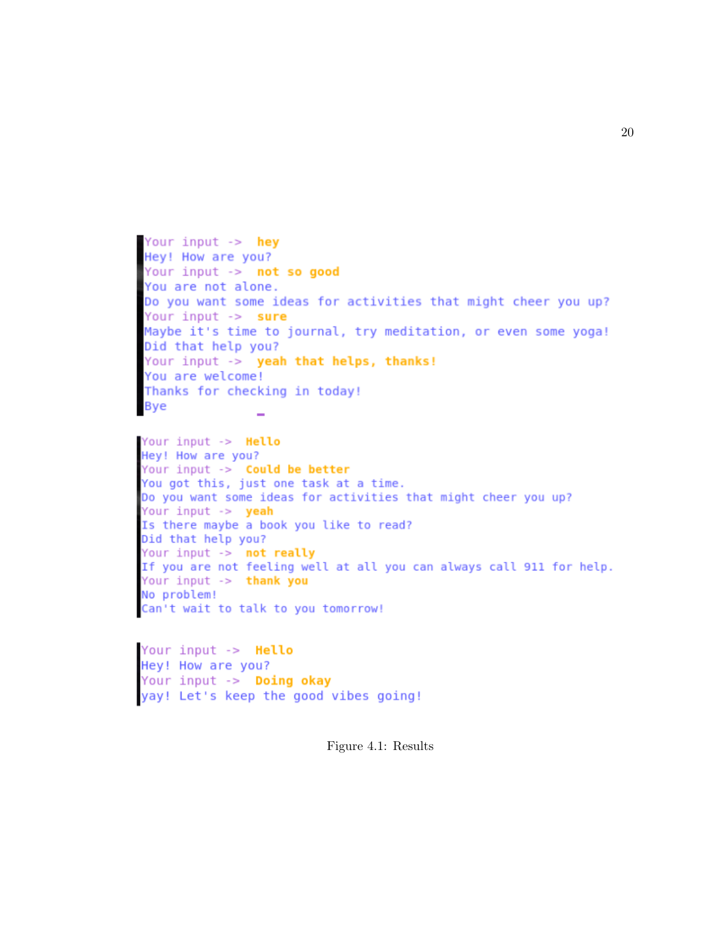Your input -> hey Hey! How are you? Your input -> not so good You are not alone. Do you want some ideas for activities that might cheer you up? Your input -> sure Maybe it's time to journal, try meditation, or even some yoga! Did that help you? Your input -> yeah that helps, thanks! You are welcome! Thanks for checking in today! **Bye** 

```
Your input -> Hello
Hey! How are you?
Your input -> Could be better<br>You got this, just one task at a time.
Do you want some ideas for activities that might cheer you up?
Your input -> yeah
Is there maybe a book you like to read?
Did that help you?<br>Your input -> not really<br>If you are not feeling well at all you can always call 911 for help.
Your input -> thank you
No problem!
Can't wait to talk to you tomorrow!
```
Your input -> Hello Hey! How are you? Your input -> Doing okay yay! Let's keep the good vibes going!

Figure 4.1: Results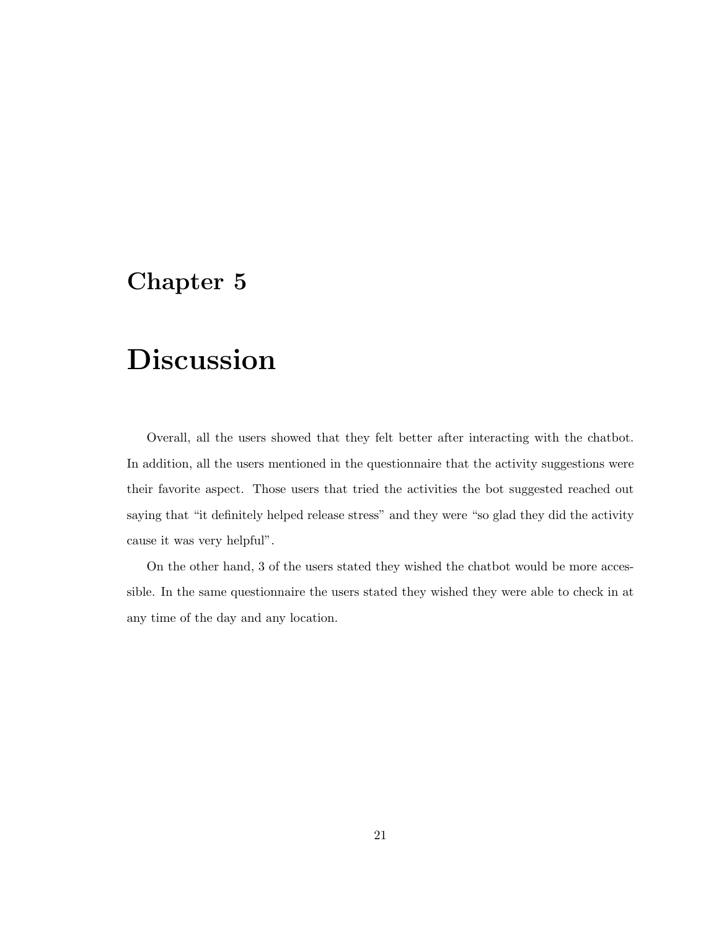# Discussion

Overall, all the users showed that they felt better after interacting with the chatbot. In addition, all the users mentioned in the questionnaire that the activity suggestions were their favorite aspect. Those users that tried the activities the bot suggested reached out saying that "it definitely helped release stress" and they were "so glad they did the activity cause it was very helpful".

On the other hand, 3 of the users stated they wished the chatbot would be more accessible. In the same questionnaire the users stated they wished they were able to check in at any time of the day and any location.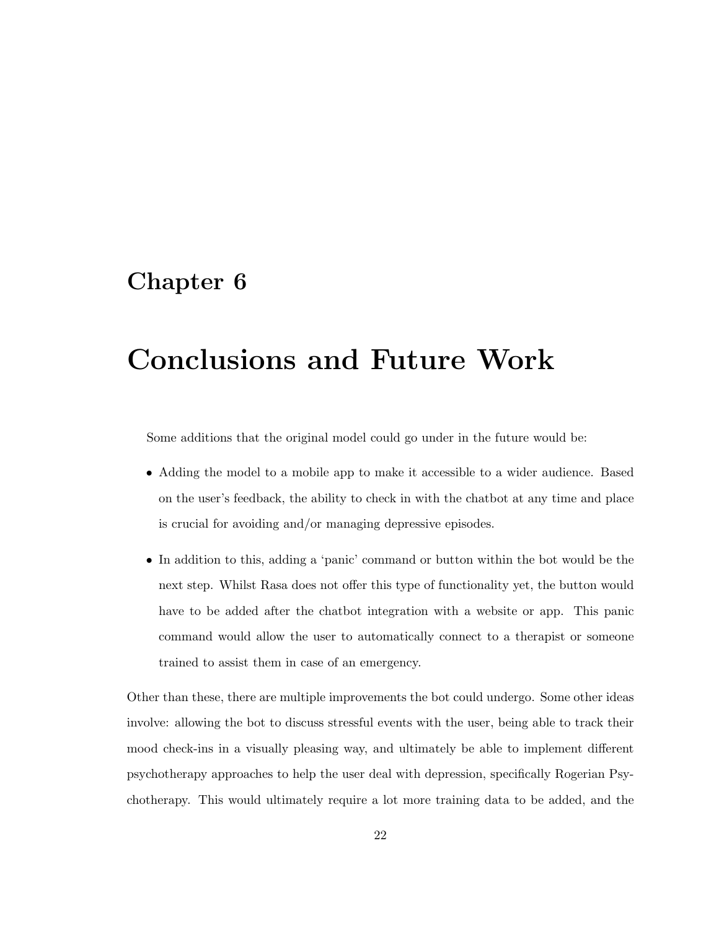# Conclusions and Future Work

Some additions that the original model could go under in the future would be:

- Adding the model to a mobile app to make it accessible to a wider audience. Based on the user's feedback, the ability to check in with the chatbot at any time and place is crucial for avoiding and/or managing depressive episodes.
- In addition to this, adding a 'panic' command or button within the bot would be the next step. Whilst Rasa does not offer this type of functionality yet, the button would have to be added after the chatbot integration with a website or app. This panic command would allow the user to automatically connect to a therapist or someone trained to assist them in case of an emergency.

Other than these, there are multiple improvements the bot could undergo. Some other ideas involve: allowing the bot to discuss stressful events with the user, being able to track their mood check-ins in a visually pleasing way, and ultimately be able to implement different psychotherapy approaches to help the user deal with depression, specifically Rogerian Psychotherapy. This would ultimately require a lot more training data to be added, and the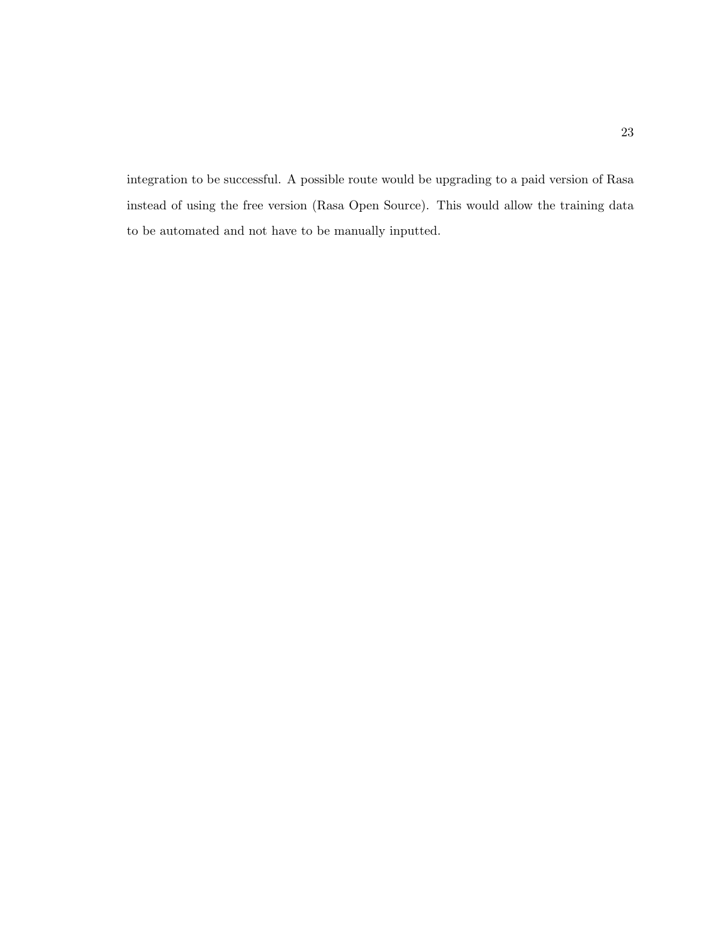integration to be successful. A possible route would be upgrading to a paid version of Rasa instead of using the free version (Rasa Open Source). This would allow the training data to be automated and not have to be manually inputted.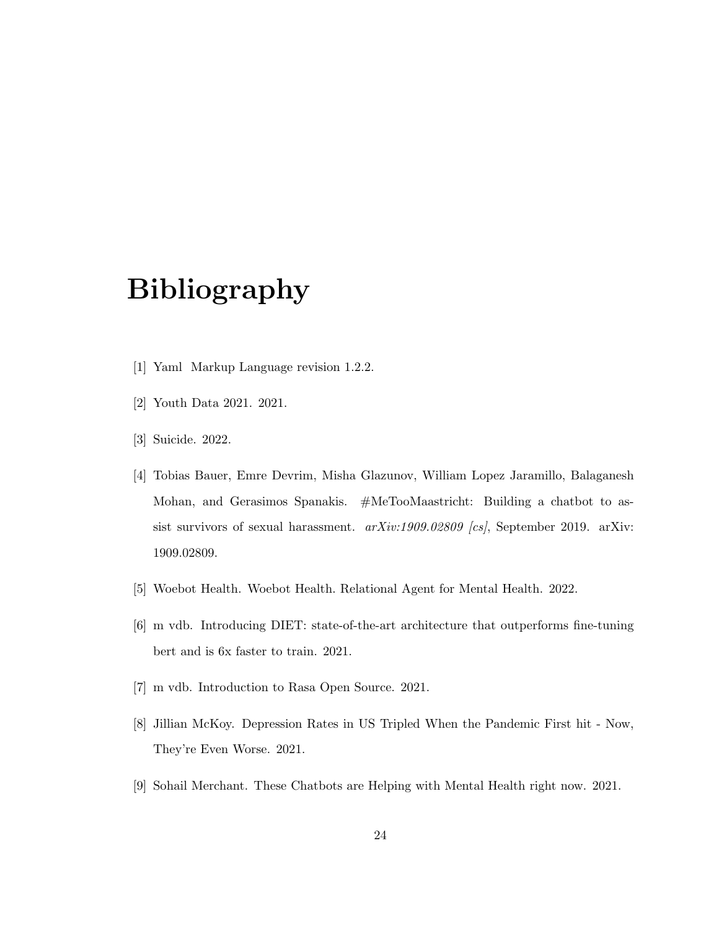# Bibliography

- [1] Yaml Markup Language revision 1.2.2.
- [2] Youth Data 2021. 2021.
- [3] Suicide. 2022.
- [4] Tobias Bauer, Emre Devrim, Misha Glazunov, William Lopez Jaramillo, Balaganesh Mohan, and Gerasimos Spanakis. #MeTooMaastricht: Building a chatbot to assist survivors of sexual harassment. arXiv:1909.02809 [cs], September 2019. arXiv: 1909.02809.
- [5] Woebot Health. Woebot Health. Relational Agent for Mental Health. 2022.
- [6] m vdb. Introducing DIET: state-of-the-art architecture that outperforms fine-tuning bert and is 6x faster to train. 2021.
- [7] m vdb. Introduction to Rasa Open Source. 2021.
- [8] Jillian McKoy. Depression Rates in US Tripled When the Pandemic First hit Now, They're Even Worse. 2021.
- [9] Sohail Merchant. These Chatbots are Helping with Mental Health right now. 2021.